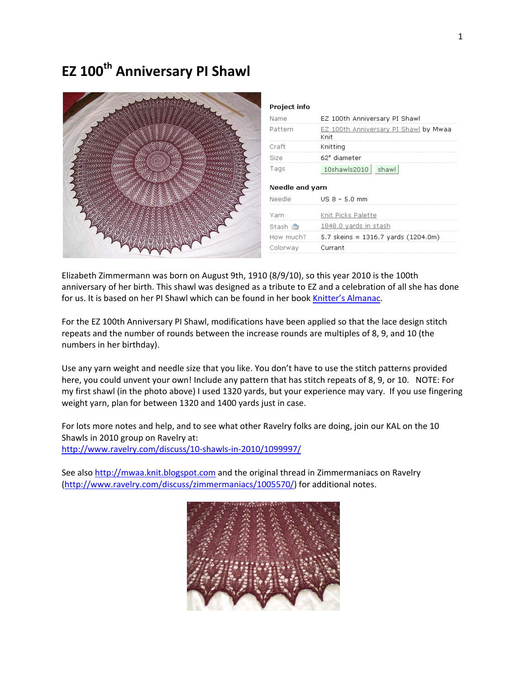# **EZ** 100<sup>th</sup> Anniversary PI Shawl



| EZ 100th Anniversary PI Shawl                 |
|-----------------------------------------------|
| EZ 100th Anniversary PI Shawl by Mwaa<br>Knit |
| Knitting                                      |
| 62" diameter                                  |
| 10shawls2010<br>shawl                         |
| Needle and varn                               |
| US 8 - 5.0 mm                                 |
| Knit Picks Palette                            |
| 1848.0 yards in stash                         |
| 5.7 skeins = $1316.7$ yards (1204.0m)         |
| Currant                                       |
|                                               |

Elizabeth Zimmermann was born on August 9th, 1910 (8/9/10), so this year 2010 is the 100th anniversary of her birth. This shawl was designed as a tribute to EZ and a celebration of all she has done for us. It is based on her PI Shawl which can be found in her book Knitter's Almanac.

For the EZ 100th Anniversary PI Shawl, modifications have been applied so that the lace design stitch repeats and the number of rounds between the increase rounds are multiples of 8, 9, and 10 (the numbers in her birthday).

Use any yarn weight and needle size that you like. You don't have to use the stitch patterns provided here, you could unvent your own! Include any pattern that has stitch repeats of 8, 9, or 10. NOTE: For my first shawl (in the photo above) I used 1320 yards, but your experience may vary. If you use fingering weight yarn, plan for between 1320 and 1400 yards just in case.

For lots more notes and help, and to see what other Ravelry folks are doing, join our KAL on the 10 Shawls in 2010 group on Ravelry at: http://www.ravelry.com/discuss/10‐shawls‐in‐2010/1099997/

See also http://mwaa.knit.blogspot.com and the original thread in Zimmermaniacs on Ravelry (http://www.ravelry.com/discuss/zimmermaniacs/1005570/) for additional notes.

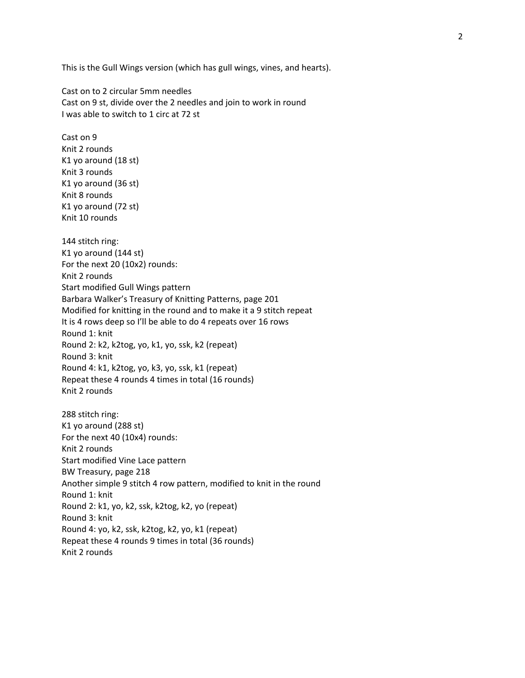This is the Gull Wings version (which has gull wings, vines, and hearts).

Cast on to 2 circular 5mm needles Cast on 9 st, divide over the 2 needles and join to work in round I was able to switch to 1 circ at 72 st

Cast on 9 Knit 2 rounds K1 yo around (18 st) Knit 3 rounds K1 yo around (36 st) Knit 8 rounds K1 yo around (72 st) Knit 10 rounds

144 stitch ring: K1 yo around (144 st) For the next 20 (10x2) rounds: Knit 2 rounds Start modified Gull Wings pattern Barbara Walker's Treasury of Knitting Patterns, page 201 Modified for knitting in the round and to make it a 9 stitch repeat It is 4 rows deep so I'll be able to do 4 repeats over 16 rows Round 1: knit Round 2: k2, k2tog, yo, k1, yo, ssk, k2 (repeat) Round 3: knit Round 4: k1, k2tog, yo, k3, yo, ssk, k1 (repeat) Repeat these 4 rounds 4 times in total (16 rounds) Knit 2 rounds

288 stitch ring: K1 yo around (288 st) For the next 40 (10x4) rounds: Knit 2 rounds Start modified Vine Lace pattern BW Treasury, page 218 Another simple 9 stitch 4 row pattern, modified to knit in the round Round 1: knit Round 2: k1, yo, k2, ssk, k2tog, k2, yo (repeat) Round 3: knit Round 4: yo, k2, ssk, k2tog, k2, yo, k1 (repeat) Repeat these 4 rounds 9 times in total (36 rounds) Knit 2 rounds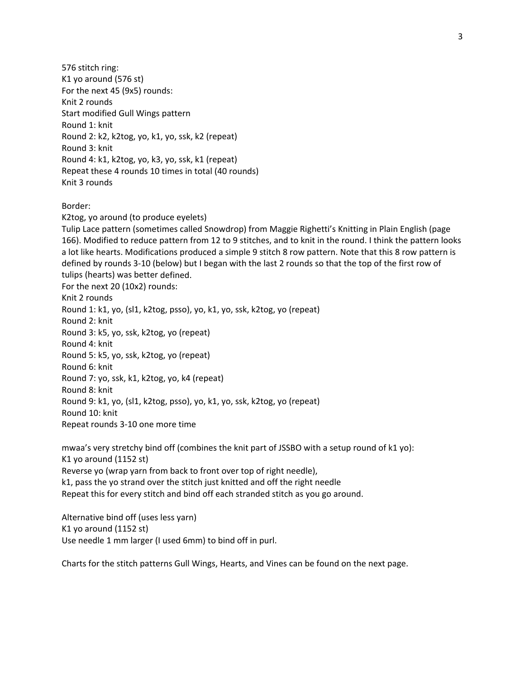576 stitch ring: K1 yo around (576 st) For the next 45 (9x5) rounds: Knit 2 rounds Start modified Gull Wings pattern Round 1: knit Round 2: k2, k2tog, yo, k1, yo, ssk, k2 (repeat) Round 3: knit Round 4: k1, k2tog, yo, k3, yo, ssk, k1 (repeat) Repeat these 4 rounds 10 times in total (40 rounds) Knit 3 rounds

## Border:

K2tog, yo around (to produce eyelets)

Tulip Lace pattern (sometimes called Snowdrop) from Maggie Righetti's Knitting in Plain English (page 166). Modified to reduce pattern from 12 to 9 stitches, and to knit in the round. I think the pattern looks a lot like hearts. Modifications produced a simple 9 stitch 8 row pattern. Note that this 8 row pattern is defined by rounds 3‐10 (below) but I began with the last 2 rounds so that the top of the first row of tulips (hearts) was better defined.

For the next 20 (10x2) rounds: Knit 2 rounds Round 1: k1, yo, (sl1, k2tog, psso), yo, k1, yo, ssk, k2tog, yo (repeat) Round 2: knit Round 3: k5, yo, ssk, k2tog, yo (repeat) Round 4: knit Round 5: k5, yo, ssk, k2tog, yo (repeat) Round 6: knit Round 7: yo, ssk, k1, k2tog, yo, k4 (repeat) Round 8: knit Round 9: k1, yo, (sl1, k2tog, psso), yo, k1, yo, ssk, k2tog, yo (repeat) Round 10: knit Repeat rounds 3‐10 one more time

mwaa's very stretchy bind off (combines the knit part of JSSBO with a setup round of k1 yo): K1 yo around (1152 st) Reverse yo (wrap yarn from back to front over top of right needle), k1, pass the yo strand over the stitch just knitted and off the right needle Repeat this for every stitch and bind off each stranded stitch as you go around.

Alternative bind off (uses less yarn) K1 yo around (1152 st) Use needle 1 mm larger (I used 6mm) to bind off in purl.

Charts for the stitch patterns Gull Wings, Hearts, and Vines can be found on the next page.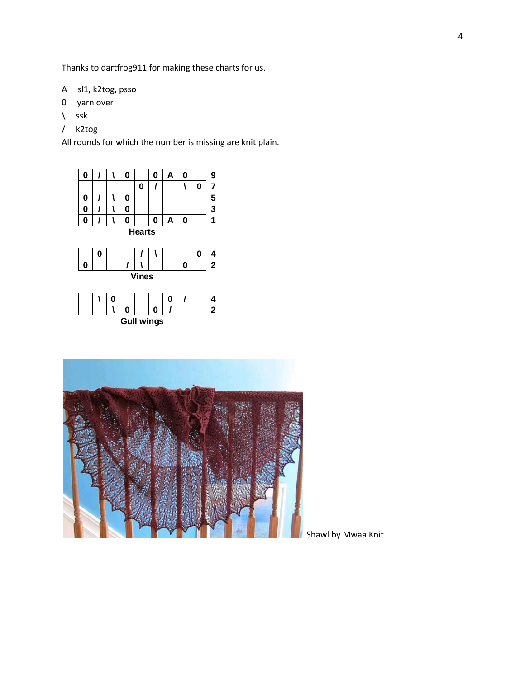Thanks to dartfrog911 for making these charts for us.

- A sl1, k2tog, psso
- 0 yarn over
- $\setminus$  ssk
- / k2tog

All rounds for which the number is missing are knit plain.





|  |  | <b>Gull wings</b> |  |  |  |
|--|--|-------------------|--|--|--|



Shawl by Mwaa Knit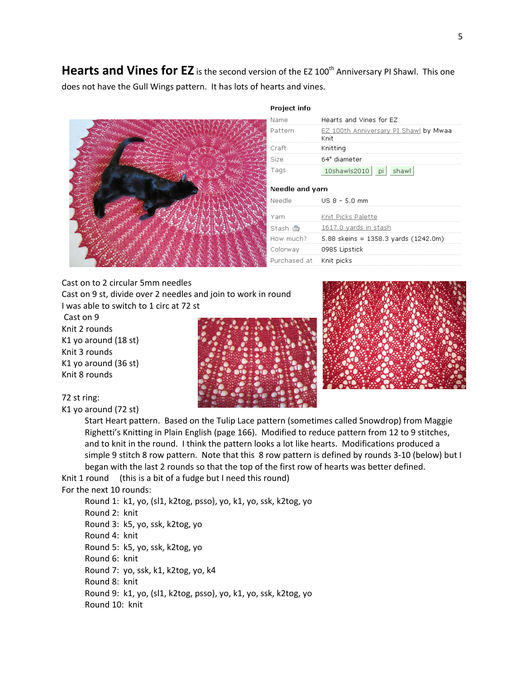**Hearts and Vines for EZ** is the second version of the EZ 100<sup>th</sup> Anniversary PI Shawl. This one does not have the Gull Wings pattern. It has lots of hearts and vines.



#### Project info

| Name      | Hearts and Vines for EZ                       |  |  |  |  |  |  |
|-----------|-----------------------------------------------|--|--|--|--|--|--|
| Pattern   | EZ 100th Anniversary PI Shawl by Mwaa<br>Knit |  |  |  |  |  |  |
| Craft     | Knitting                                      |  |  |  |  |  |  |
| Size      | 64" diameter                                  |  |  |  |  |  |  |
| Tags      | pi<br>shawl<br>10shawls2010                   |  |  |  |  |  |  |
|           |                                               |  |  |  |  |  |  |
|           | Needle and yarn                               |  |  |  |  |  |  |
| Needle    | US 8 - 5.0 mm                                 |  |  |  |  |  |  |
| Yarn      | Knit Picks Palette                            |  |  |  |  |  |  |
| Stash n   | 1617.0 yards in stash                         |  |  |  |  |  |  |
| How much? | 5.88 skeins = 1358.3 yards $(1242.0m)$        |  |  |  |  |  |  |
| Colorway  | 0985 Lipstick                                 |  |  |  |  |  |  |
|           |                                               |  |  |  |  |  |  |

Cast on to 2 circular 5mm needles Cast on 9 st, divide over 2 needles and join to work in round I was able to switch to 1 circ at 72 st

Cast on 9 Knit 2 rounds K1 yo around (18 st) Knit 3 rounds K1 yo around (36 st) Knit 8 rounds





### 72 st ring:

# K1 yo around (72 st)

Start Heart pattern. Based on the Tulip Lace pattern (sometimes called Snowdrop) from Maggie Righetti's Knitting in Plain English (page 166). Modified to reduce pattern from 12 to 9 stitches, and to knit in the round. I think the pattern looks a lot like hearts. Modifications produced a simple 9 stitch 8 row pattern. Note that this 8 row pattern is defined by rounds 3-10 (below) but I began with the last 2 rounds so that the top of the first row of hearts was better defined.

Knit 1 round (this is a bit of a fudge but I need this round)

#### For the next 10 rounds:

Round 1: k1, yo, (sl1, k2tog, psso), yo, k1, yo, ssk, k2tog, yo Round 2: knit Round 3: k5, yo, ssk, k2tog, yo Round 4: knit Round 5: k5, yo, ssk, k2tog, yo Round 6: knit Round 7: yo, ssk, k1, k2tog, yo, k4 Round 8: knit Round 9: k1, yo, (sl1, k2tog, psso), yo, k1, yo, ssk, k2tog, yo Round 10: knit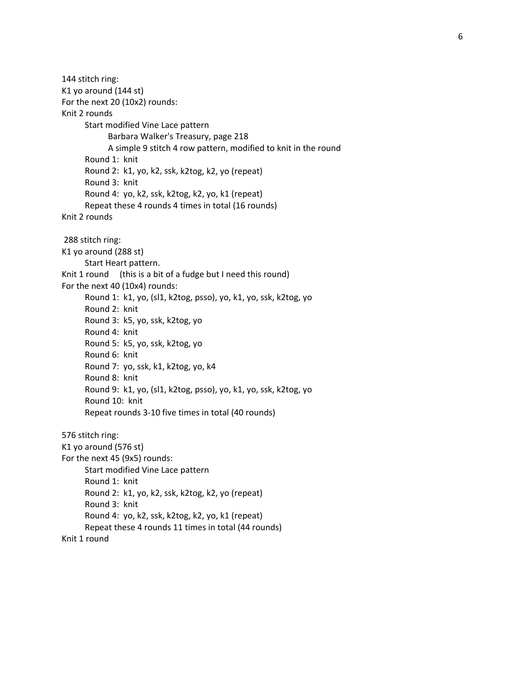144 stitch ring: K1 yo around (144 st) For the next 20 (10x2) rounds: Knit 2 rounds Start modified Vine Lace pattern Barbara Walker's Treasury, page 218 A simple 9 stitch 4 row pattern, modified to knit in the round Round 1: knit Round 2: k1, yo, k2, ssk, k2tog, k2, yo (repeat) Round 3: knit Round 4: yo, k2, ssk, k2tog, k2, yo, k1 (repeat) Repeat these 4 rounds 4 times in total (16 rounds) Knit 2 rounds 288 stitch ring: K1 yo around (288 st) Start Heart pattern. Knit 1 round (this is a bit of a fudge but I need this round) For the next 40 (10x4) rounds: Round 1: k1, yo, (sl1, k2tog, psso), yo, k1, yo, ssk, k2tog, yo Round 2: knit Round 3: k5, yo, ssk, k2tog, yo Round 4: knit Round 5: k5, yo, ssk, k2tog, yo Round 6: knit Round 7: yo, ssk, k1, k2tog, yo, k4 Round 8: knit Round 9: k1, yo, (sl1, k2tog, psso), yo, k1, yo, ssk, k2tog, yo Round 10: knit Repeat rounds 3‐10 five times in total (40 rounds) 576 stitch ring: K1 yo around (576 st) For the next 45 (9x5) rounds: Start modified Vine Lace pattern Round 1: knit Round 2: k1, yo, k2, ssk, k2tog, k2, yo (repeat) Round 3: knit Round 4: yo, k2, ssk, k2tog, k2, yo, k1 (repeat) Repeat these 4 rounds 11 times in total (44 rounds) Knit 1 round